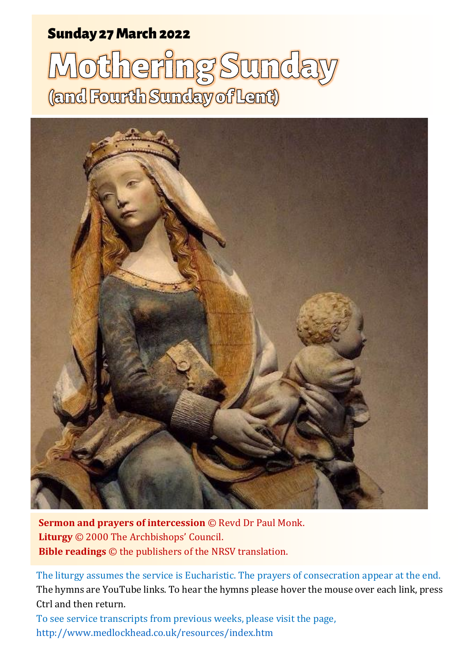# Sunday 27 March 2022 1 Mothering Sunday Sunday 27March 2022

# Mothering Sunday<br>(and Fourth Sunday of Lent)



**Sermon and prayers of intercession** © Revd Dr Paul Monk. **Liturgy** © 2000 The Archbishops' Council. **Bible readings** © the publishers of the NRSV translation.

The liturgy assumes the service is Eucharistic. The prayers of consecration appear at the end. The hymns are YouTube links. To hear the hymns please hover the mouse over each link, press Ctrl and then return.

To see service transcripts from previous weeks, please visit the page, <http://www.medlockhead.co.uk/resources/index.htm>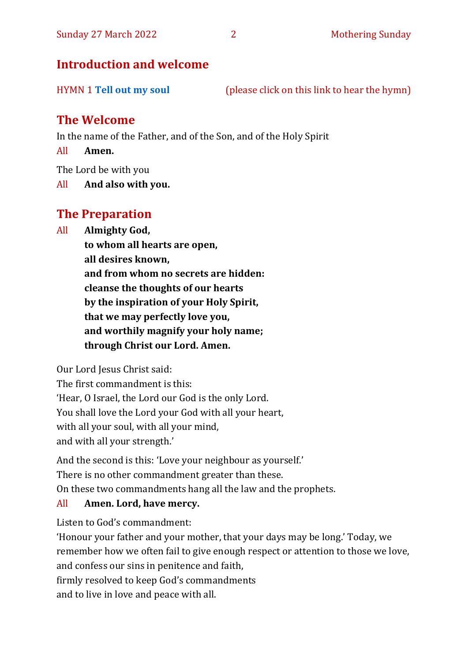# **Introduction and welcome**

| <b>HYMN 1 Tell out my soul</b> | (please click on this link to hear the hymn) |  |
|--------------------------------|----------------------------------------------|--|
|                                |                                              |  |

# **The Welcome**

In the name of the Father, and of the Son, and of the Holy Spirit

All **Amen.**

The Lord be with you

All **And also with you.**

# **The Preparation**

All **Almighty God,**

**to whom all hearts are open, all desires known, and from whom no secrets are hidden: cleanse the thoughts of our hearts by the inspiration of your Holy Spirit, that we may perfectly love you, and worthily magnify your holy name; through Christ our Lord. Amen.**

Our Lord Jesus Christ said:

The first commandment is this: 'Hear, O Israel, the Lord our God is the only Lord. You shall love the Lord your God with all your heart, with all your soul, with all your mind, and with all your strength.'

And the second is this: 'Love your neighbour as yourself.' There is no other commandment greater than these. On these two commandments hang all the law and the prophets.

#### All **Amen. Lord, have mercy.**

Listen to God's commandment:

'Honour your father and your mother, that your days may be long.' Today, we remember how we often fail to give enough respect or attention to those we love, and confess our sins in penitence and faith,

firmly resolved to keep God's commandments

and to live in love and peace with all.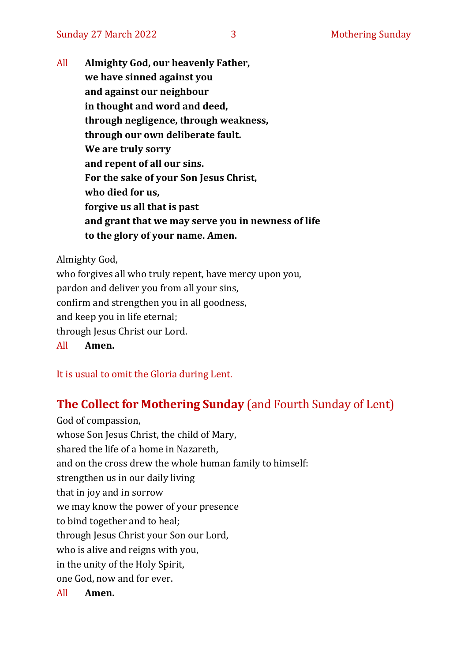All **Almighty God, our heavenly Father, we have sinned against you and against our neighbour in thought and word and deed, through negligence, through weakness, through our own deliberate fault. We are truly sorry and repent of all our sins. For the sake of your Son Jesus Christ, who died for us, forgive us all that is past and grant that we may serve you in newness of life to the glory of your name. Amen.**

Almighty God,

who forgives all who truly repent, have mercy upon you, pardon and deliver you from all your sins, confirm and strengthen you in all goodness, and keep you in life eternal; through Jesus Christ our Lord. All **Amen.**

It is usual to omit the Gloria during Lent.

#### **The Collect for Mothering Sunday** (and Fourth Sunday of Lent)

God of compassion, whose Son Jesus Christ, the child of Mary, shared the life of a home in Nazareth, and on the cross drew the whole human family to himself: strengthen us in our daily living that in joy and in sorrow we may know the power of your presence to bind together and to heal; through Jesus Christ your Son our Lord, who is alive and reigns with you, in the unity of the Holy Spirit, one God, now and for ever. All **Amen.**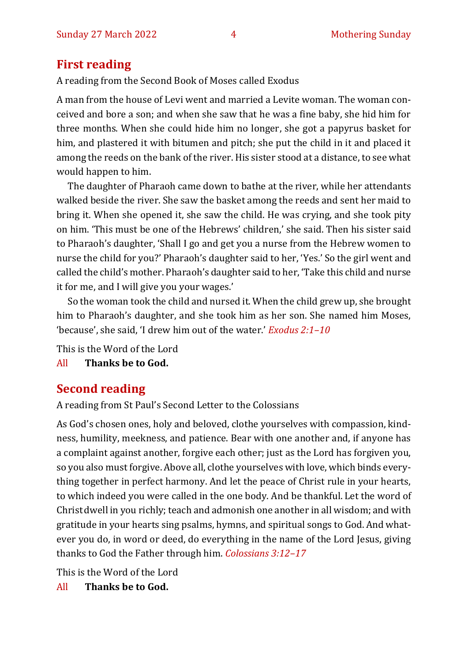### **First reading**

A reading from the Second Book of Moses called Exodus

A man from the house of Levi went and married a Levite woman. The woman conceived and bore a son; and when she saw that he was a fine baby, she hid him for three months. When she could hide him no longer, she got a papyrus basket for him, and plastered it with bitumen and pitch; she put the child in it and placed it among the reeds on the bank of the river. His sister stood at a distance, to see what would happen to him.

The daughter of Pharaoh came down to bathe at the river, while her attendants walked beside the river. She saw the basket among the reeds and sent her maid to bring it. When she opened it, she saw the child. He was crying, and she took pity on him. 'This must be one of the Hebrews' children,' she said. Then his sister said to Pharaoh's daughter, 'Shall I go and get you a nurse from the Hebrew women to nurse the child for you?' Pharaoh's daughter said to her, 'Yes.' So the girl went and called the child's mother. Pharaoh's daughter said to her, 'Take this child and nurse it for me, and I will give you your wages.'

So the woman took the child and nursed it. When the child grew up, she brought him to Pharaoh's daughter, and she took him as her son. She named him Moses, 'because', she said, 'I drew him out of the water.' *Exodus 2:1–10*

This is the Word of the Lord

All **Thanks be to God.**

#### **Second reading**

A reading from St Paul's Second Letter to the Colossians

As God's chosen ones, holy and beloved, clothe yourselves with compassion, kindness, humility, meekness, and patience. Bear with one another and, if anyone has a complaint against another, forgive each other; just as the Lord has forgiven you, so you also must forgive. Above all, clothe yourselves with love, which binds everything together in perfect harmony. And let the peace of Christ rule in your hearts, to which indeed you were called in the one body. And be thankful. Let the word of Christdwell in you richly; teach and admonish one another in all wisdom; and with gratitude in your hearts sing psalms, hymns, and spiritual songs to God. And whatever you do, in word or deed, do everything in the name of the Lord Jesus, giving thanks to God the Father through him. *Colossians 3:12–17*

This is the Word of the Lord

All **Thanks be to God.**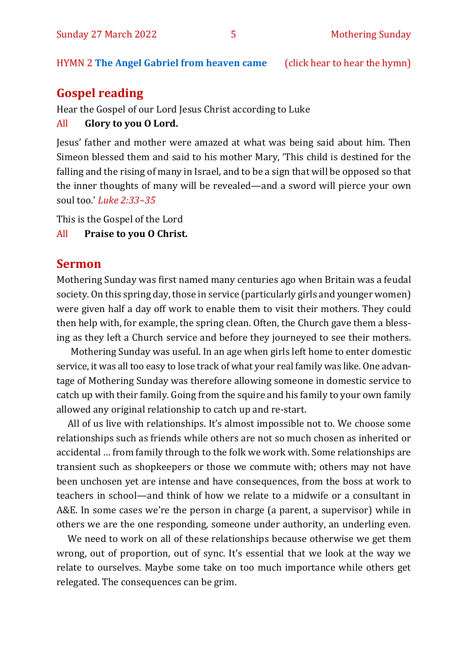#### HYMN 2 **[The Angel Gabriel from heaven came](https://www.youtube.com/watch?v=pliqObTHxUQ)** (click hear to hear the hymn)

# **Gospel reading**

Hear the Gospel of our Lord Jesus Christ according to Luke

#### All **Glory to you O Lord.**

Jesus' father and mother were amazed at what was being said about him. Then Simeon blessed them and said to his mother Mary, 'This child is destined for the falling and the rising of many in Israel, and to be a sign that will be opposed so that the inner thoughts of many will be revealed—and a sword will pierce your own soul too.' *Luke 2:33–35*

This is the Gospel of the Lord

#### All **Praise to you O Christ.**

## **Sermon**

Mothering Sunday was first named many centuries ago when Britain was a feudal society. On this spring day, those in service (particularly girls and younger women) were given half a day off work to enable them to visit their mothers. They could then help with, for example, the spring clean. Often, the Church gave them a blessing as they left a Church service and before they journeyed to see their mothers.

Mothering Sunday was useful. In an age when girls left home to enter domestic service, it was all too easy to lose track of what your real family was like. One advantage of Mothering Sunday was therefore allowing someone in domestic service to catch up with their family. Going from the squire and his family to your own family allowed any original relationship to catch up and re-start.

All of us live with relationships. It's almost impossible not to. We choose some relationships such as friends while others are not so much chosen as inherited or accidental … from family through to the folk we work with. Some relationships are transient such as shopkeepers or those we commute with; others may not have been unchosen yet are intense and have consequences, from the boss at work to teachers in school—and think of how we relate to a midwife or a consultant in A&E. In some cases we're the person in charge (a parent, a supervisor) while in others we are the one responding, someone under authority, an underling even.

We need to work on all of these relationships because otherwise we get them wrong, out of proportion, out of sync. It's essential that we look at the way we relate to ourselves. Maybe some take on too much importance while others get relegated. The consequences can be grim.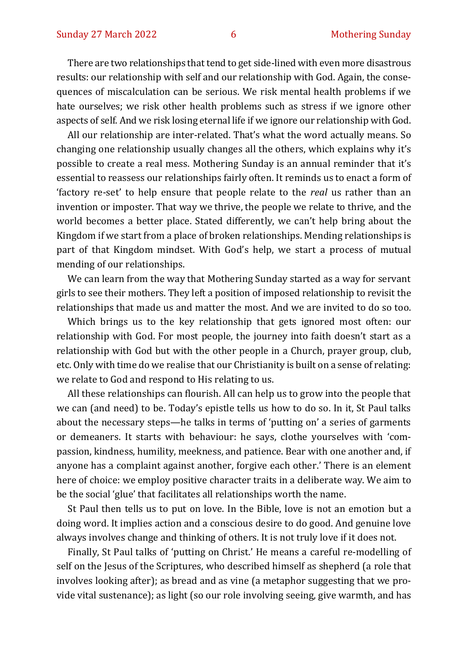There are two relationships that tend to get side-lined with even more disastrous results: our relationship with self and our relationship with God. Again, the consequences of miscalculation can be serious. We risk mental health problems if we hate ourselves; we risk other health problems such as stress if we ignore other aspects of self. And we risk losing eternal life if we ignore our relationship with God.

All our relationship are inter-related. That's what the word actually means. So changing one relationship usually changes all the others, which explains why it's possible to create a real mess. Mothering Sunday is an annual reminder that it's essential to reassess our relationships fairly often. It reminds us to enact a form of 'factory re-set' to help ensure that people relate to the *real* us rather than an invention or imposter. That way we thrive, the people we relate to thrive, and the world becomes a better place. Stated differently, we can't help bring about the Kingdom if we start from a place of broken relationships. Mending relationships is part of that Kingdom mindset. With God's help, we start a process of mutual mending of our relationships.

We can learn from the way that Mothering Sunday started as a way for servant girls to see their mothers. They left a position of imposed relationship to revisit the relationships that made us and matter the most. And we are invited to do so too.

Which brings us to the key relationship that gets ignored most often: our relationship with God. For most people, the journey into faith doesn't start as a relationship with God but with the other people in a Church, prayer group, club, etc. Only with time do we realise that our Christianity is built on a sense of relating: we relate to God and respond to His relating to us.

All these relationships can flourish. All can help us to grow into the people that we can (and need) to be. Today's epistle tells us how to do so. In it, St Paul talks about the necessary steps—he talks in terms of 'putting on' a series of garments or demeaners. It starts with behaviour: he says, clothe yourselves with 'compassion, kindness, humility, meekness, and patience. Bear with one another and, if anyone has a complaint against another, forgive each other.' There is an element here of choice: we employ positive character traits in a deliberate way. We aim to be the social 'glue' that facilitates all relationships worth the name.

St Paul then tells us to put on love. In the Bible, love is not an emotion but a doing word. It implies action and a conscious desire to do good. And genuine love always involves change and thinking of others. It is not truly love if it does not.

Finally, St Paul talks of 'putting on Christ.' He means a careful re-modelling of self on the Jesus of the Scriptures, who described himself as shepherd (a role that involves looking after); as bread and as vine (a metaphor suggesting that we provide vital sustenance); as light (so our role involving seeing, give warmth, and has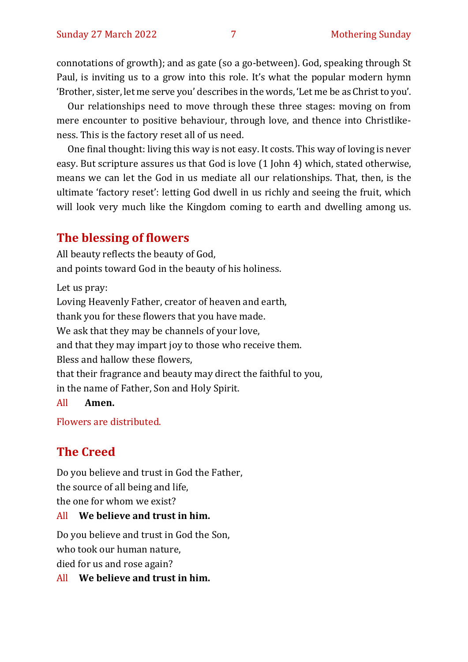connotations of growth); and as gate (so a go-between). God, speaking through St Paul, is inviting us to a grow into this role. It's what the popular modern hymn 'Brother, sister, let me serve you' describes in the words, 'Let me be as Christ to you'.

Our relationships need to move through these three stages: moving on from mere encounter to positive behaviour, through love, and thence into Christlikeness. This is the factory reset all of us need.

One final thought: living this way is not easy. It costs. This way of loving is never easy. But scripture assures us that God is love (1 John 4) which, stated otherwise, means we can let the God in us mediate all our relationships. That, then, is the ultimate 'factory reset': letting God dwell in us richly and seeing the fruit, which will look very much like the Kingdom coming to earth and dwelling among us.

#### **The blessing of flowers**

All beauty reflects the beauty of God, and points toward God in the beauty of his holiness.

Let us pray: Loving Heavenly Father, creator of heaven and earth, thank you for these flowers that you have made. We ask that they may be channels of your love, and that they may impart joy to those who receive them. Bless and hallow these flowers, that their fragrance and beauty may direct the faithful to you, in the name of Father, Son and Holy Spirit.

All **Amen.**

Flowers are distributed.

## **The Creed**

Do you believe and trust in God the Father, the source of all being and life, the one for whom we exist?

#### All **We believe and trust in him.**

Do you believe and trust in God the Son, who took our human nature, died for us and rose again?

All **We believe and trust in him.**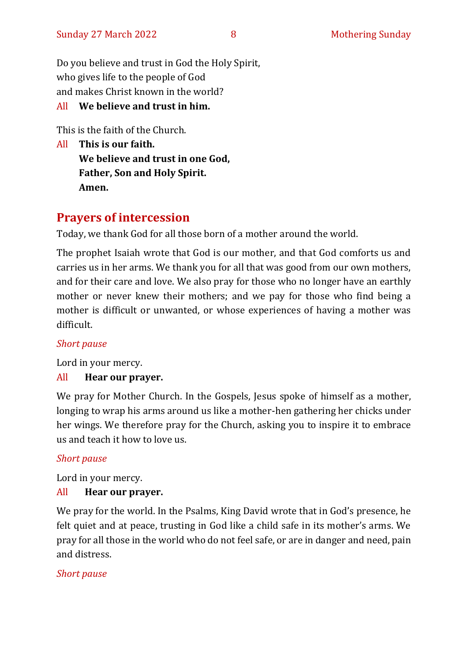Do you believe and trust in God the Holy Spirit, who gives life to the people of God and makes Christ known in the world?

#### All **We believe and trust in him.**

This is the faith of the Church.

All **This is our faith. We believe and trust in one God, Father, Son and Holy Spirit. Amen.**

#### **Prayers of intercession**

Today, we thank God for all those born of a mother around the world.

The prophet Isaiah wrote that God is our mother, and that God comforts us and carries us in her arms. We thank you for all that was good from our own mothers, and for their care and love. We also pray for those who no longer have an earthly mother or never knew their mothers; and we pay for those who find being a mother is difficult or unwanted, or whose experiences of having a mother was difficult.

#### *Short pause*

Lord in your mercy.

#### All **Hear our prayer.**

We pray for Mother Church. In the Gospels, Jesus spoke of himself as a mother, longing to wrap his arms around us like a mother-hen gathering her chicks under her wings. We therefore pray for the Church, asking you to inspire it to embrace us and teach it how to love us.

#### *Short pause*

Lord in your mercy.

#### All **Hear our prayer.**

We pray for the world. In the Psalms, King David wrote that in God's presence, he felt quiet and at peace, trusting in God like a child safe in its mother's arms. We pray for all those in the world who do not feel safe, or are in danger and need, pain and distress.

#### *Short pause*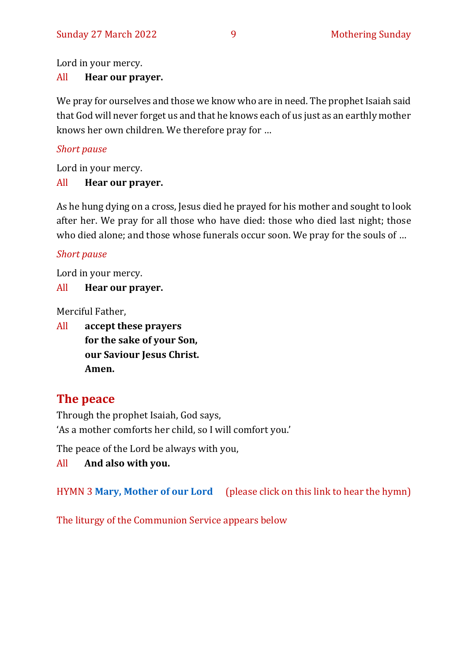Lord in your mercy.

#### All **Hear our prayer.**

We pray for ourselves and those we know who are in need. The prophet Isaiah said that God will never forget us and that he knows each of us just as an earthly mother knows her own children. We therefore pray for …

#### *Short pause*

Lord in your mercy.

#### All **Hear our prayer.**

As he hung dying on a cross, Jesus died he prayed for his mother and sought to look after her. We pray for all those who have died: those who died last night; those who died alone; and those whose funerals occur soon. We pray for the souls of …

#### *Short pause*

Lord in your mercy.

All **Hear our prayer.**

Merciful Father,

All **accept these prayers for the sake of your Son, our Saviour Jesus Christ. Amen.**

#### **The peace**

Through the prophet Isaiah, God says, 'As a mother comforts her child, so I will comfort you.'

The peace of the Lord be always with you,

#### All **And also with you.**

HYMN 3 **[Mary, Mother of our Lord](https://www.youtube.com/watch?v=8_RM6cbcxnA)** (please click on this link to hear the hymn)

The liturgy of the Communion Service appears below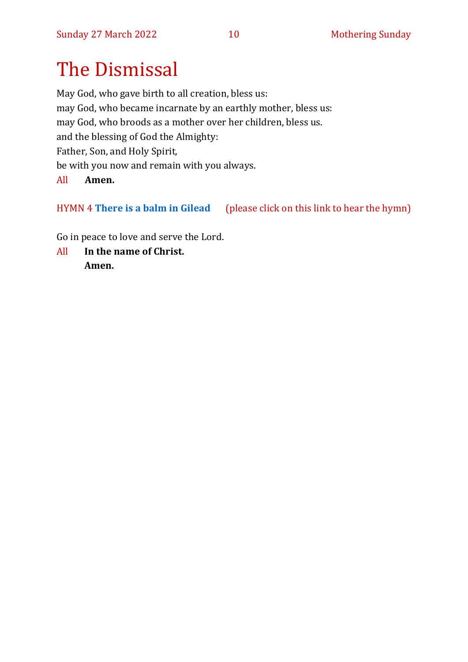# The Dismissal

May God, who gave birth to all creation, bless us: may God, who became incarnate by an earthly mother, bless us: may God, who broods as a mother over her children, bless us. and the blessing of God the Almighty: Father, Son, and Holy Spirit, be with you now and remain with you always.

#### All **Amen.**

HYMN 4 **[There is a balm in Gilead](https://www.youtube.com/watch?v=8fcMxI_6xsk)** (please click on this link to hear the hymn)

Go in peace to love and serve the Lord.

All **In the name of Christ. Amen.**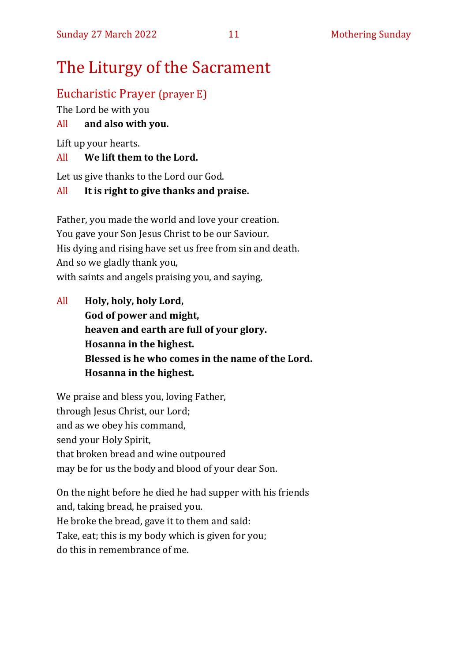# The Liturgy of the Sacrament

#### Eucharistic Prayer (prayer E)

The Lord be with you

#### All **and also with you.**

Lift up your hearts.

#### All **We lift them to the Lord.**

Let us give thanks to the Lord our God.

#### All **It is right to give thanks and praise.**

Father, you made the world and love your creation. You gave your Son Jesus Christ to be our Saviour. His dying and rising have set us free from sin and death. And so we gladly thank you, with saints and angels praising you, and saying,

All **Holy, holy, holy Lord, God of power and might, heaven and earth are full of your glory. Hosanna in the highest. Blessed is he who comes in the name of the Lord. Hosanna in the highest.**

We praise and bless you, loving Father, through Jesus Christ, our Lord; and as we obey his command, send your Holy Spirit, that broken bread and wine outpoured may be for us the body and blood of your dear Son.

On the night before he died he had supper with his friends and, taking bread, he praised you. He broke the bread, gave it to them and said: Take, eat; this is my body which is given for you; do this in remembrance of me.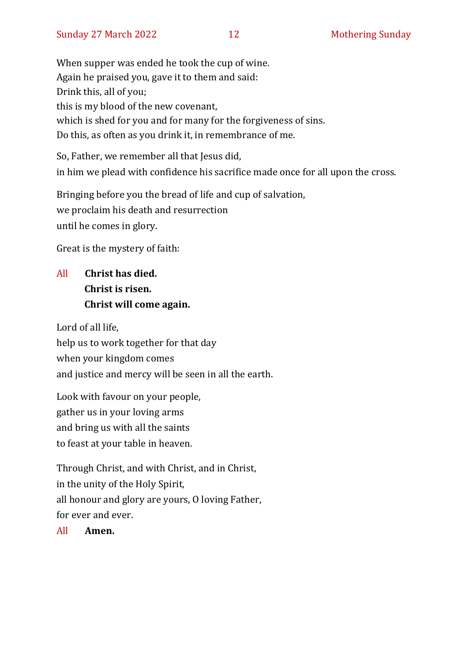When supper was ended he took the cup of wine. Again he praised you, gave it to them and said: Drink this, all of you; this is my blood of the new covenant, which is shed for you and for many for the forgiveness of sins. Do this, as often as you drink it, in remembrance of me.

So, Father, we remember all that Jesus did, in him we plead with confidence his sacrifice made once for all upon the cross.

Bringing before you the bread of life and cup of salvation, we proclaim his death and resurrection until he comes in glory.

Great is the mystery of faith:

# All **Christ has died. Christ is risen. Christ will come again.**

Lord of all life, help us to work together for that day when your kingdom comes and justice and mercy will be seen in all the earth.

Look with favour on your people, gather us in your loving arms and bring us with all the saints to feast at your table in heaven.

Through Christ, and with Christ, and in Christ, in the unity of the Holy Spirit, all honour and glory are yours, O loving Father, for ever and ever.

All **Amen.**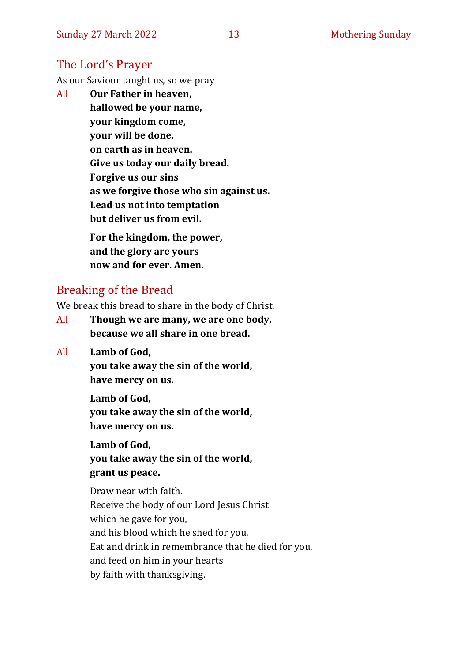#### The Lord's Prayer

As our Saviour taught us, so we pray

All **Our Father in heaven, hallowed be your name, your kingdom come, your will be done, on earth as in heaven. Give us today our daily bread. Forgive us our sins as we forgive those who sin against us. Lead us not into temptation but deliver us from evil. For the kingdom, the power,** 

**and the glory are yours now and for ever. Amen.**

#### Breaking of the Bread

We break this bread to share in the body of Christ.

- All **Though we are many, we are one body, because we all share in one bread.**
- All **Lamb of God,**

**you take away the sin of the world, have mercy on us.**

**Lamb of God,** 

**you take away the sin of the world, have mercy on us.**

**Lamb of God,** 

**you take away the sin of the world, grant us peace.**

Draw near with faith. Receive the body of our Lord Jesus Christ which he gave for you, and his blood which he shed for you. Eat and drink in remembrance that he died for you, and feed on him in your hearts by faith with thanksgiving.